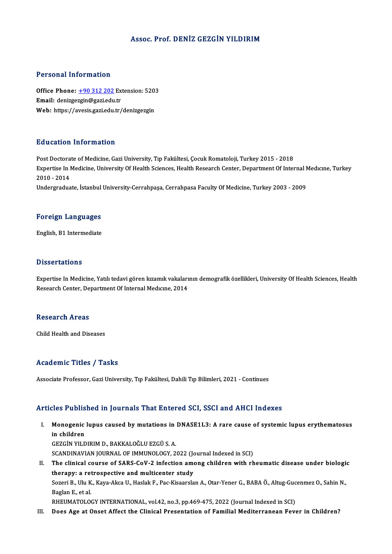## Assoc. Prof. DENİZ GEZGİN YILDIRIM

### Personal Information

Personal Information<br>Office Phone: <u>+90 312 202</u> Extension: 5203<br>Email: denizoszin@sazi.edu.tr Procession internation<br>Office Phone: <u>+90 312 202</u> Ex<br>Email: denizge[zgin@gazi.edu](tel:+90 312 202).tr Office Phone: <u>+90 312 202</u> Extension: 520:<br>Email: denizgezgin@gazi.edu.tr<br>Web: https://avesis.gazi.edu.tr/denizgezgin Web: https://avesis.gazi.edu.tr/denizgezgin<br>Education Information

Post Doctorate of Medicine, Gazi University, Tıp Fakültesi, Çocuk Romatoloji, Turkey 2015 - 2018 Eu d'eutren Timer Inderen<br>Post Doctorate of Medicine, Gazi University, Tıp Fakültesi, Çocuk Romatoloji, Turkey 2015 - 2018<br>Expertise In Medicine, University Of Health Sciences, Health Research Center, Department Of Interna Post Doctora<br>Expertise In 1<br>2010 - 2014<br>Undergradue Expertise In Medicine, University Of Health Sciences, Health Research Center, Department Of Internal N<br>2010 - 2014<br>Undergraduate, İstanbul University-Cerrahpaşa, Cerrahpasa Faculty Of Medicine, Turkey 2003 - 2009

# <sub>ondergraduate, istanbul</sub><br>Foreign Languages F<mark>oreign Languages</mark><br>English, B1 Intermediate

English, B1 Intermediate<br>Dissertations

Dissertations<br>Expertise In Medicine, Yatılı tedavi gören kızamık vakalarının demografik özellikleri, University Of Health Sciences, Health<br>Researsh Center, Denartment Of Internal Medicine, 2014 Bassea tatreme<br>Expertise In Medicine, Yatılı tedavi gören kızamık vakaları<br>Research Center, Department Of Internal Medıcıne, 2014 Research Center, Department Of Internal Medicine, 2014<br>Research Areas

Child Health and Diseases

### Academic Titles / Tasks

Associate Professor, Gazi University, Tıp Fakültesi, Dahili Tıp Bilimleri, 2021 - Continues

## Articles Published in Journals That Entered SCI, SSCI and AHCI Indexes

rticles Published in Journals That Entered SCI, SSCI and AHCI Indexes<br>I. Monogenic lupus caused by mutations in DNASE1L3: A rare cause of systemic lupus erythematosus<br>in children mes Tusne<br>Monogenic<br>in children<br>CEZCIN VU D in children<br>GEZGİN YILDIRIM D., BAKKALOĞLU EZGÜ S. A. in children<br>GEZGİN YILDIRIM D., BAKKALOĞLU EZGÜ S. A.<br>SCANDINAVIAN JOURNAL OF IMMUNOLOGY, 2022 (Journal Indexed in SCI)<br>The clinical sourse of SABS CoV. 2 infection among shildren with rh II. The clinical course of SARS-CoV-2 infection among children with rheumatic disease under biologic therapy: a retrospective and multicenter study SCANDINAVIAN JOURNAL OF IMMUNOLOGY, 2022 (Journal Course of SARS-CoV-2 infection among the clinical course of SARS-CoV-2 infection among the rapy: a retrospective and multicenter study The clinical course of SARS-CoV-2 infection among children with rheumatic disease under biologi<br>therapy: a retrospective and multicenter study<br>Sozeri B., Ulu K., Kaya-Akca U., Haslak F., Pac-Kisaarslan A., Otar-Yener G., B t<mark>herapy: a ret</mark><br>Sozeri B., Ulu K<br>Baglan E., et al.<br>PUEUMATOLOG Sozeri B., Ulu K., Kaya-Akca U., Haslak F., Pac-Kisaarslan A., Otar-Yener G., BABA Ö., Altug-Guc<br>Baglan E., et al.<br>RHEUMATOLOGY INTERNATIONAL, vol.42, no.3, pp.469-475, 2022 (Journal Indexed in SCI)<br>Dess. Age at Opeat. Aff

Baglan E., et al.<br>RHEUMATOLOGY INTERNATIONAL, vol.42, no.3, pp.469-475, 2022 (Journal Indexed in SCI)<br>III. Does Age at Onset Affect the Clinical Presentation of Familial Mediterranean Fever in Children?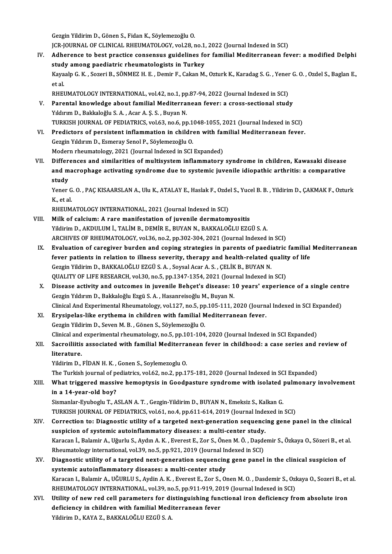GezginYildirimD.,GönenS.,FidanK.,SöylemezoğluO.

Gezgin Yildirim D., Gönen S., Fidan K., Söylemezoğlu O.<br>JCR-JOURNAL OF CLINICAL RHEUMATOLOGY, vol.28, no.1, 2022 (Journal Indexed in SCI)<br>Adharanga ta bast prastise sansansus suidelines for familial Mediterranean fo

- Gezgin Yildirim D., Gönen S., Fidan K., Söylemezoğlu O.<br>JCR-JOURNAL OF CLINICAL RHEUMATOLOGY, vol.28, no.1, 2022 (Journal Indexed in SCI)<br>IV. Adherence to best practice consensus guidelines for familial Mediterranean fever JCR-JOURNAL OF CLINICAL RHEUMATOLOGY, vol.28, no.1,<br>Adherence to best practice consensus guidelines fo<br>study among paediatric rheumatologists in Turkey<br>Kavaala C. K., Sereni B., SÖNMEZ U. E., Demin E. Colian M Adherence to best practice consensus guidelines for familial Mediterranean fever: a modified Delphi<br>study among paediatric rheumatologists in Turkey<br>Kayaalp G. K. , Sozeri B., SÖNMEZ H. E. , Demir F., Cakan M., Ozturk K., study among paediatric rheumatologists in Turkey<br>Kayaalp G. K., Sozeri B., SÖNMEZ H. E., Demir F., Cakan M<br>et al. Kayaalp G. K., Sozeri B., SÖNMEZ H. E., Demir F., Cakan M., Ozturk K., Karadag S. G., Yener G. O., Ozdel S., Baglan E., RHEUMATOLOGY INTERNATIONAL, vol.42, no.1, pp.87-94, 2022 (Journal Indexed in SCI)
- V. Parental knowledge about familial Mediterranean fever: a cross-sectional study<br>Yıldırım D., Bakkaloğlu S. A., Acar A. S. S., Buvan N. Parental knowledge about familial Mediterranean fever: a cross-sectional study<br>Yıldırım D., Bakkaloğlu S. A. , Acar A. Ş. S. , Buyan N.<br>TURKISH JOURNAL OF PEDIATRICS, vol.63, no.6, pp.1048-1055, 2021 (Journal Indexed in SC Yıldırım D., Bakkaloğlu S. A. , Acar A. Ş. S. , Buyan N.<br>TURKISH JOURNAL OF PEDIATRICS, vol.63, no.6, pp.1048-1055, 2021 (Journal Indexed in SCI)<br>VI. Predictors of persistent inflammation in children with familial Mediterr
- TURKISH JOURNAL OF PEDIATRICS, vol.63, no.6, pp.1<br>Predictors of persistent inflammation in childre<br>Gezgin Yıldırım D., Esmeray Senol P., Söylemezoğlu O.<br>Modern rhaumatalogu 2021 (Journal Indoved in SCI VI. Predictors of persistent inflammation in children with familial Mediterranean fever.<br>Gezgin Yıldırım D., Esmeray Senol P., Söylemezoğlu O.<br>Modern rheumatology, 2021 (Journal Indexed in SCI Expanded)
- Gezgin Yıldırım D., Esmeray Senol P., Söylemezoğlu O.<br>Modern rheumatology, 2021 (Journal Indexed in SCI Expanded)<br>VII. Differences and similarities of multisystem inflammatory syndrome in children, Kawasaki disease<br>and Modern rheumatology, 2021 (Journal Indexed in SCI Expanded)<br>Differences and similarities of multisystem inflammatory syndrome in children, Kawasaki disease<br>and macrophage activating syndrome due to systemic juvenile idiopa Differ<br>and m<br>study<br><sup>Vonor</sup> and macrophage activating syndrome due to systemic juvenile idiopathic arthritis: a comparative<br>study<br>Yener G. O. , PAÇ KISAARSLAN A., Ulu K., ATALAY E., Haslak F., Ozdel S., Yucel B. B. , Yildirim D., ÇAKMAK F., Ozturk<br>K.

<mark>study</mark><br>Yener G<br>K., et al.<br>PHEIM Yener G. O. , PAÇ KISAARSLAN A., Ulu K., ATALAY E., Haslak F., Ozde<br>K., et al.<br>RHEUMATOLOGY INTERNATIONAL, 2021 (Journal Indexed in SCI)<br>Milk of salsium: A rans manifestation of iuvenile dermatam

- K., et al.<br>RHEUMATOLOGY INTERNATIONAL, 2021 (Journal Indexed in SCI)<br>VIII. Milk of calcium: A rare manifestation of juvenile dermatomyositis Yildirim D., AKDULUM İ., TALİM B., DEMİR E., BUYAN N., BAKKALOĞLU EZGÜ S. A. ARCHIVES OF RHEUMATOLOGY, vol.36, no.2, pp.302-304, 2021 (Journal Indexed in SCI) Yildirim D., AKDULUM İ., TALİM B., DEMİR E., BUYAN N., BAKKALOĞLU EZGÜ S. A.<br>ARCHIVES OF RHEUMATOLOGY, vol.36, no.2, pp.302-304, 2021 (Journal Indexed in SCI)<br>IX. Evaluation of caregiver burden and coping strategies in par
	- ARCHIVES OF RHEUMATOLOGY, vol.36, no.2, pp.302-304, 2021 (Journal Indexed in SCI)<br>Evaluation of caregiver burden and coping strategies in parents of paediatric familial<br>fever patients in relation to illness severity, thera Evaluation of caregiver burden and coping strategies in parents of paedifiever patients in relation to illness severity, therapy and health-related q<br>Gezgin Yildirim D., BAKKALOĞLU EZGÜ S. A. , Soysal Acar A. S. , ÇELİK B. fever patients in relation to illness severity, therapy and health-related quality of life<br>Gezgin Yildirim D., BAKKALOĞLU EZGÜ S. A., Soysal Acar A. S., ÇELİK B., BUYAN N. QUALITY OF LIFE RESEARCH, vol.30, no.5, pp.1347-1354, 2021 (Journal Indexed in SCI)
	- X. Disease activity and outcomes in juvenile Behçet's disease: 10 years' experience of a single centre Disease activity and outcomes in juvenile Behçet's disease: 10 years' experience of a single cent<br>Gezgin Yıldırım D., Bakkaloğlu Ezgü S. A. , Hasanreisoğlu M., Buyan N.<br>Clinical And Experimental Rheumatology, vol.127, no.5 Gezgin Yıldırım D., Bakkaloğlu Ezgü S. A. , Hasanreisoğlu M., Buyan N.<br>Clinical And Experimental Rheumatology, vol.127, no.5, pp.105-111, 2020 (Journa<br>XI. Erysipelas-like erythema in children with familial Mediterranean fe
	- Clinical And Experimental Rheumatology, vol.127, no.5, pp<br>Erysipelas-like erythema in children with familial M<br>Gezgin Yildirim D., Seven M. B., Gönen S., Söylemezoğlu O.<br>Clinical and experimental rheumatology, no 5, nn 101 Erysipelas-like erythema in children with familial Mediterranean fever.<br>Gezgin Yildirim D., Seven M. B. , Gönen S., Söylemezoğlu O.<br>Clinical and experimental rheumatology, no.5, pp.101-104, 2020 (Journal Indexed in SCI Exp

# Gezgin Yildirim D., Seven M. B. , Gönen S., Söylemezoğlu O.<br>Clinical and experimental rheumatology, no.5, pp.101-104, 2020 (Journal Indexed in SCI Expanded)<br>XII. Sacroiliitis associated with familial Mediterranean fever in Clinical and<br>Sacroiliitis<br>literature.<br><sup>Vildinim D</sup>

Yildirim D., FİDAN H. K., Gonen S., Soylemezoglu O.

The Turkish journal of pediatrics, vol.62, no.2, pp.175-181, 2020 (Journal Indexed in SCI Expanded)

Yildirim D., FİDAN H. K. , Gonen S., Soylemezoglu O.<br>The Turkish journal of pediatrics, vol.62, no.2, pp.175-181, 2020 (Journal Indexed in SCI Expanded)<br>XIII. What triggered massive hemoptysis in Goodpasture syndrome with in a 14-year-old boy? What triggered massive hemoptysis in Goodpasture syndrome with isolated <sub>]</sub><br>in a 14-year-old boy?<br>Sismanlar-Eyuboglu T., ASLAN A.T. , Gezgin-Yildirim D., BUYAN N., Emeksiz S., Kalkan G.<br>TURKISH JOURNAL OF REDIATRICS vol.61

Sismanlar-Eyuboglu T., ASLAN A. T., Gezgin-Yildirim D., BUYAN N., Emeksiz S., Kalkan G.<br>TURKISH JOURNAL OF PEDIATRICS, vol.61, no.4, pp.611-614, 2019 (Journal Indexed in SCI)

- Sismanlar-Eyuboglu T., ASLAN A. T. , Gezgin-Yildirim D., BUYAN N., Emeksiz S., Kalkan G.<br>TURKISH JOURNAL OF PEDIATRICS, vol.61, no.4, pp.611-614, 2019 (Journal Indexed in SCI)<br>XIV. Correction to: Diagnostic utility of a ta TURKISH JOURNAL OF PEDIATRICS, vol.61, no.4, pp.611-614, 2019 (Journal Inde<br>Correction to: Diagnostic utility of a targeted next-generation sequenci<br>suspicion of systemic autoinflammatory diseases: a multi-center study.<br>Ka Correction to: Diagnostic utility of a targeted next-generation sequencing gene panel in the clinical<br>suspicion of systemic autoinflammatory diseases: a multi-center study.<br>Karacan İ., Balamir A., Uğurlu S., Aydın A. K. , suspicion of systemic autoinflammatory diseases: a multi-center study.<br>Karacan İ., Balamir A., Uğurlu S., Aydın A. K. , Everest E., Zor S., Önen M. Ö. , Daşdemir S., Özkaya O., Sözeri B., et al. Rheumatology international, vol.39, no.5, pp.921, 2019 (Journal Indexed in SCI)
- XV. Diagnostic utility of a targeted next-generation sequencing gene panel in the clinical suspicion of Diagnostic utility of a targeted next-generation sequencing gene panel in the clinical suspicion of<br>systemic autoinflammatory diseases: a multi-center study<br>Karacan I., Balamir A., UĞURLU S., Aydin A. K. , Everest E., Zor systemic autoinflammatory diseases: a multi-center study<br>Karacan I., Balamir A., UĞURLU S., Aydin A. K. , Everest E., Zor S., Onen M. O. , Dasdemir S., Ozl<br>RHEUMATOLOGY INTERNATIONAL, vol.39, no.5, pp.911-919, 2019 (Journa Karacan I., Balamir A., UĞURLU S., Aydin A. K. , Everest E., Zor S., Onen M. O. , Dasdemir S., Ozkaya O., Sozeri B., et<br>RHEUMATOLOGY INTERNATIONAL, vol.39, no.5, pp.911-919, 2019 (Journal Indexed in SCI)<br>XVI. Utility of ne
- RHEUMATOLOGY INTERNATIONAL, vol.39, no.5, pp.911-919, 20<br>Utility of new red cell parameters for distinguishing fund<br>deficiency in children with familial Mediterranean fever<br>Vidinim D. KANA 7, PAKKALOČU U EZGÜ S. A Utility of new red cell parameters for distinguishing functional iron deficiency from absolute iron deficiency in children with familial Mediterranean fever<br>Yildirim D., KAYA Z., BAKKALOĞLU EZGÜ S. A.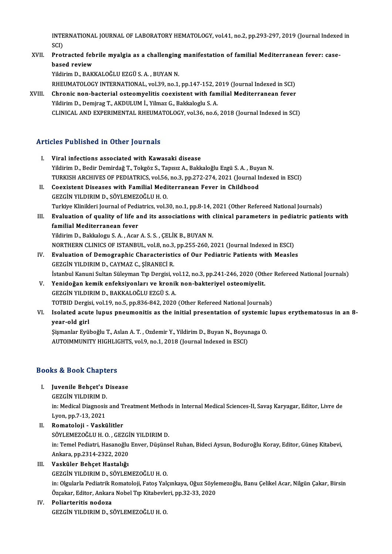INTERNATIONAL JOURNAL OF LABORATORY HEMATOLOGY, vol.41, no.2, pp.293-297, 2019 (Journal Indexed in<br>SCD INTE<br>SCI)<br>Brot INTERNATIONAL JOURNAL OF LABORATORY HEMATOLOGY, vol.41, no.2, pp.293-297, 2019 (Journal Indexed<br>SCI)<br>XVII. Protracted febrile myalgia as a challenging manifestation of familial Mediterranean fever: case-

SCI)<br>Protracted feb<br>based review<br><sup>Vildinim D. PA*V*</sup> Protracted febrile myalgia as a challenging<br>based review<br>Yildirim D., BAKKALOĞLU EZGÜ S. A. , BUYAN N.<br>BHEUMATOLOCY INTERNATIONAL .vol 39. no.1. based review<br>Yildirim D., BAKKALOĞLU EZGÜ S. A. , BUYAN N.<br>RHEUMATOLOGY INTERNATIONAL, vol.39, no.1, pp.147-152, 2019 (Journal Indexed in SCI)<br>Chronis non-basterial ostaomyelitis soovistent with familial Mediterranean fove

Yildirim D., BAKKALOĞLU EZGÜ S. A. , BUYAN N.<br>RHEUMATOLOGY INTERNATIONAL, vol.39, no.1, pp.147-152, 2019 (Journal Indexed in SCI)<br>XVIII. Chronic non-bacterial osteomyelitis coexistent with familial Mediterranean fever<br>Yild RHEUMATOLOGY INTERNATIONAL, vol.39, no.1, pp.147-152, 2<br>Chronic non-bacterial osteomyelitis coexistent with fan<br>Yildirim D., Demjrag T., AKDULUM İ., Yilmaz G., Bakkaloglu S.A.<br>CLINICAL AND EXPERIMENTAL PHEUMATOLOGY vol.36, CLINICAL AND EXPERIMENTAL RHEUMATOLOGY, vol.36, no.6, 2018 (Journal Indexed in SCI)

## Articles Published in Other Journals

I. Viral infections associated with Kawasaki disease Yildirim D., Bedir Demirdağ T., Tokgöz S., Tapısız A., Bakkaloğlu Ezgü S.A., Buyan N. Viral infections associated with Kawasaki disease<br>Yildirim D., Bedir Demirdağ T., Tokgöz S., Tapısız A., Bakkaloğlu Ezgü S. A. , Buyan N.<br>TURKISH ARCHIVES OF PEDIATRICS, vol.56, no.3, pp.272-274, 2021 (Journal Indexed in E II. Coexistent Diseases with Familial Mediterranean Fever in Childhood GEZGIN YILDIRIM D. SÖYLEMEZOĞLU H. O. TURKISH ARCHIVES OF PEDIATRICS, vol.56,<br>Coexistent Diseases with Familial Medi<br>GEZGİN YILDIRIM D., SÖYLEMEZOĞLU H. O.<br>Turkiye Klinikleri Journal of Bediatrics vol.3 Coexistent Diseases with Familial Mediterranean Fever in Childhood<br>GEZGİN YILDIRIM D., SÖYLEMEZOĞLU H. O.<br>Turkiye Klinikleri Journal of Pediatrics, vol.30, no.1, pp.8-14, 2021 (Other Refereed National Journals)<br>Fyalustion GEZGİN YILDIRIM D., SÖYLEMEZOĞLU H. O.<br>Turkiye Klinikleri Journal of Pediatrics, vol.30, no.1, pp.8-14, 2021 (Other Refereed National Journals)<br>III. Evaluation of quality of life and its associations with clinical para Turkiye Klinikleri Journal of Pedi<br><mark>Evaluation of quality of life a</mark><br>familial Mediterranean fever<br><sup>Vildirim D. Pekkalogu S.A. Agar</sub></sup> Evaluation of quality of life and its associations with dependent of the standard fever  $\overline{Y}$ <br>Yildirim D., Bakkalogu S.A. , Acar A.S.S. , ÇELİK B., BUYAN N.<br>NORTHERN CLINICS OF ISTANRUL, 11019, no.3, nn.255, 260, 2 familial Mediterranean fever<br>Yildirim D., Bakkalogu S. A. , Acar A. S. S. , ÇELİK B., BUYAN N.<br>NORTHERN CLINICS OF ISTANBUL, vol.8, no.3, pp.255-260, 2021 (Journal Indexed in ESCI)<br>Evaluation of Domographic Characteristics

Yildirim D., Bakkalogu S. A. , Acar A. S. S. , ÇELİK B., BUYAN N.<br>NORTHERN CLINICS OF ISTANBUL, vol.8, no.3, pp.255-260, 2021 (Journal Indexed in ESCI)<br>IV. Evaluation of Demographic Characteristics of Our Pediatric Patient NORTHERN CLINICS OF ISTANBUL, vol.8, no.3,<br>**Evaluation of Demographic Characteristi**<br>GEZGİN YILDIRIM D., CAYMAZ C., ŞİRANECİ R.<br>İstanbul Kanuni Sultan Sülayman Tın Dergisi y IV. Evaluation of Demographic Characteristics of Our Pediatric Patients with Measles<br>GEZGIN YILDIRIM D., CAYMAZ C., ŞİRANECİ R.<br>İstanbul Kanuni Sultan Süleyman Tıp Dergisi, vol.12, no.3, pp.241-246, 2020 (Other Refereed Na GEZGİN YILDIRIM D., CAYMAZ C., ŞİRANECİ R.<br>İstanbul Kanuni Sultan Süleyman Tıp Dergisi, vol.12, no.3, pp.241-246, 2020 (Oth<br>V. Yenidoğan kemik enfeksiyonları ve kronik non-bakteriyel osteomiyelit.<br>CEZCİN YU DIRIM D. BAKKAL

- İstanbul Kanuni Sultan Süleyman Tıp Dergisi, ve<br>Yenidoğan kemik enfeksiyonları ve kronil<br>GEZGİN YILDIRIM D., BAKKALOĞLU EZGÜ S. A.<br>TOTPID Dergisi vel 19. ne 5. np.926.942.2020 Yenidoğan kemik enfeksiyonları ve kronik non-bakteriyel osteomiyelit.<br>GEZGİN YILDIRIM D., BAKKALOĞLU EZGÜ S. A.<br>TOTBID Dergisi, vol.19, no.5, pp.836-842, 2020 (Other Refereed National Journals)<br>Jealated asuta lunus ppeuman
- GEZGİN YILDIRIM D., BAKKALOĞLU EZGÜ S. A.<br>TOTBID Dergisi, vol.19, no.5, pp.836-842, 2020 (Other Refereed National Journals)<br>VI. Isolated acute lupus pneumonitis as the initial presentation of systemic lupus erythematosus i TOTBID Dergis<br>Isolated acut<br>year-old girl<br>Siamanlar Evil Isolated acute lupus pneumonitis as the initial presentation of systemic<br>year-old girl<br>Şişmanlar Eyüboğlu T., Aslan A. T. , Ozdemir Y., Yildirim D., Buyan N., Boyunaga O.<br>AUTOIMMINITY HIGH IGHTS 1120 0 no.1, 2019 (Journal

year-old girl<br>Şişmanlar Eyüboğlu T., Aslan A. T. , Ozdemir Y., Yildirim D., Buyan N., Boyunaga O.<br>AUTOIMMUNITY HIGHLIGHTS, vol.9, no.1, 2018 (Journal Indexed in ESCI)

# AUTOIMMONITY HIGHLIC<br>Books & Book Chapters

ooks & Book Chapters<br>I. Juvenile Behçet's Disease<br>CEZCIN VILDIPIM D I. Juvenile Behçet's Disease<br>GEZGİN YILDIRIM D.

Juvenile Behçet's Disease<br>GEZGİN YILDIRIM D.<br>in: Medical Diagnosis and Treatment Methods in Internal Medical Sciences-II, Savaş Karyagar, Editor, Livre de<br>Lyen, np.7, 12, 2021 GEZGİN YILDIRIM D.<br>in: Medical Diagnosis<br>Lyon, pp.7-13, 2021<br>Bomatoloji - Voakî

- Lyon, pp.7-13, 2021<br>II. Romatoloji Vaskülitler Lyon, pp.7-13, 2021<br><mark>Romatoloji - Vaskülitler</mark><br>SÖYLEMEZOĞLU H. O. , GEZGİN YILDIRIM D.<br>in: Temel Bediatri, Heseneğlu Enyer, Düşüne in: Temel Pediatri, Hasanoğlu Enver, Düşünsel Ruhan, Bideci Aysun, Boduroğlu Koray, Editor, Güneş Kitabevi,<br>Ankara, pp.2314-2322, 2020 SÖYLEMEZOĞLU H. O. , GEZGİ<br>in: Temel Pediatri, Hasanoğlu<br>Ankara, pp.2314-2322, 2020<br>Vesküler Pehest Hestalığı
- III. Vasküler Behçet Hastalığı

GEZGİNYILDIRIMD.,SÖYLEMEZOĞLUH.O. in: Olgularla Pediatrik Romatoloji, Fatoş Yalçınkaya, Oğuz Söylemezoğlu, Banu Çelikel Acar, Nilgün Çakar, Birsin GEZGİN YILDIRIM D., SÖYLEMEZOĞLU H. O.<br>in: Olgularla Pediatrik Romatoloji, Fatoş Yalçınkaya, Oğuz Söyle<br>Özçakar, Editor, Ankara Nobel Tıp Kitabevleri, pp.32-33, 2020<br>Poliantaritis podege

IV. Poliarteritis nodoza Özçakar, Editor, Ankara Nobel Tıp Kitabevle<br><mark>Poliarteritis nodoza</mark><br>GEZGİN YILDIRIM D., SÖYLEMEZOĞLU H. O.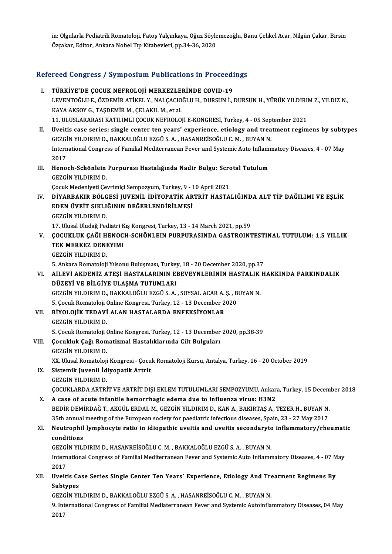in: Olgularla Pediatrik Romatoloji, Fatoş Yalçınkaya, Oğuz Söylemezoğlu, Banu Çelikel Acar, Nilgün Çakar, Birsin Özçakar, Editor, Ankara Nobel Tıp Kitabevleri, pp.34-36, 2020

# 02çakar, Editor, Afikara Nobel 11p Kitabevieri, pp.34-36, 2020<br>Refereed Congress / Symposium Publications in Proceedings

| Refereed Congress / Symposium Publications in Proceedings |                                                                                                                                                                                                              |
|-----------------------------------------------------------|--------------------------------------------------------------------------------------------------------------------------------------------------------------------------------------------------------------|
| L.                                                        | TÜRKİYE'DE ÇOCUK NEFROLOJİ MERKEZLERİNDE COVID-19<br>LEVENTOĞLU E., ÖZDEMİR ATİKEL Y., NALÇACIOĞLU H., DURSUN İ., DURSUN H., YÜRÜK YILDIRIM Z., YILDIZ N.,<br>KAYA AKSOY G., TAŞDEMİR M., ÇELAKIL M., et al. |
| Н.                                                        | 11. ULUSLARARASI KATILIMLI ÇOCUK NEFROLOJİ E-KONGRESİ, Turkey, 4 - 05 September 2021<br>Uveitis case series: single center ten years' experience, etiology and treatment regimens by subtypes                |
|                                                           | GEZGİN YILDIRIM D., BAKKALOĞLU EZGÜ S. A., HASANREİSOĞLU C. M., BUYAN N.                                                                                                                                     |
|                                                           | International Congress of Familial Mediterranean Fever and Systemic Auto Inflammatory Diseases, 4 - 07 May<br>2017                                                                                           |
| III.                                                      | Henoch-Schönlein Purpurası Hastalığında Nadir Bulgu: Scrotal Tutulum<br><b>GEZGIN YILDIRIM D.</b>                                                                                                            |
|                                                           | Çocuk Medeniyeti Çevrimiçi Sempozyum, Turkey, 9 - 10 April 2021                                                                                                                                              |
| IV.                                                       | DİYARBAKIR BÖLGESİ JUVENİL İDİYOPATİK ARTRİT HASTALIĞINDA ALT TİP DAĞILIMI VE EŞLİK<br>EDEN ÜVEİT SIKLIĞININ DEĞERLENDİRİLMESİ<br><b>GEZGIN YILDIRIM D.</b>                                                  |
|                                                           | 17. Ulusal Uludağ Pediatri Kış Kongresi, Turkey, 13 - 14 March 2021, pp.59                                                                                                                                   |
| V.                                                        | ÇOCUKLUK ÇAĞI HENOCH-SCHÖNLEIN PURPURASINDA GASTROINTESTINAL TUTULUM: 1.5 YILLIK                                                                                                                             |
|                                                           | TEK MERKEZ DENEYIMI                                                                                                                                                                                          |
|                                                           | <b>GEZGIN YILDIRIM D</b>                                                                                                                                                                                     |
|                                                           | 5. Ankara Romatoloji Yılsonu Buluşması, Turkey, 18 - 20 December 2020, pp.37                                                                                                                                 |
| VI.                                                       | AİLEVİ AKDENİZ ATEŞİ HASTALARININ EBEVEYNLERİNİN HASTALIK HAKKINDA FARKINDALIK<br>DÜZEYİ VE BİLGİYE ULAŞMA TUTUMLARI                                                                                         |
|                                                           | GEZGİN YILDIRIM D., BAKKALOĞLU EZGÜ S. A., SOYSAL ACAR A. Ş., BUYAN N.                                                                                                                                       |
|                                                           | 5. Çocuk Romatoloji Online Kongresi, Turkey, 12 - 13 December 2020                                                                                                                                           |
| VII.                                                      | BİYOLOJİK TEDAVİ ALAN HASTALARDA ENFEKSİYONLAR                                                                                                                                                               |
|                                                           | <b>GEZGIN YILDIRIM D</b>                                                                                                                                                                                     |
|                                                           | 5. Çocuk Romatoloji Online Kongresi, Turkey, 12 - 13 December 2020, pp 38-39                                                                                                                                 |
| VIII.                                                     | Çocukluk Çağı Romatizmal Hastalıklarında Cilt Bulguları                                                                                                                                                      |
|                                                           | <b>GEZGIN YILDIRIM D.</b>                                                                                                                                                                                    |
|                                                           | XX. Ulusal Romatoloji Kongresi - Çocuk Romatoloji Kursu, Antalya, Turkey, 16 - 20 October 2019<br>Sistemik Juvenil İdiyopatik Artrit                                                                         |
| IX.                                                       | GEZGIN YILDIRIM D.                                                                                                                                                                                           |
|                                                           | ÇOCUKLARDA ARTRİT VE ARTRİT DIŞI EKLEM TUTULUMLARI SEMPOZYUMU, Ankara, Turkey, 15 December 2018                                                                                                              |
| X.                                                        | A case of acute infantile hemorrhagic edema due to influenza virus: H3N2                                                                                                                                     |
|                                                           | BEDİR DEMİRDAĞ T., AKGÜL ERDAL M., GEZGİN YILDIRIM D., KAN A., BAKIRTAŞ A., TEZER H., BUYAN N.                                                                                                               |
|                                                           | 35th annual meeting of the European society for paediatric infectious diseases, Spain, 23 - 27 May 2017                                                                                                      |
| XI.                                                       | Neutrophil lymphocyte ratio in idiopathic uveitis and uveitis secondaryto inflammatory/rheumatic<br>conditions                                                                                               |
|                                                           | GEZGİN YILDIRIM D., HASANREİSOĞLU C. M., BAKKALOĞLU EZGÜ S. A., BUYAN N.                                                                                                                                     |
|                                                           | International Congress of Familial Mediterranean Fever and Systemic Auto Inflammatory Diseases, 4 - 07 May                                                                                                   |
| XII.                                                      | 2017<br>Uveitis Case Series Single Center Ten Years' Experience, Etiology And Treatment Regimens By                                                                                                          |
|                                                           | <b>Subtypes</b>                                                                                                                                                                                              |
|                                                           | GEZGİN YILDIRIM D., BAKKALOĞLU EZGÜ S. A., HASANREİSOĞLU C. M., BUYAN N.                                                                                                                                     |
|                                                           | 9. International Congress of Familial Mediaterranean Fever and Systemic Autoinflammatory Diseases, 04 May                                                                                                    |
|                                                           | 2017                                                                                                                                                                                                         |